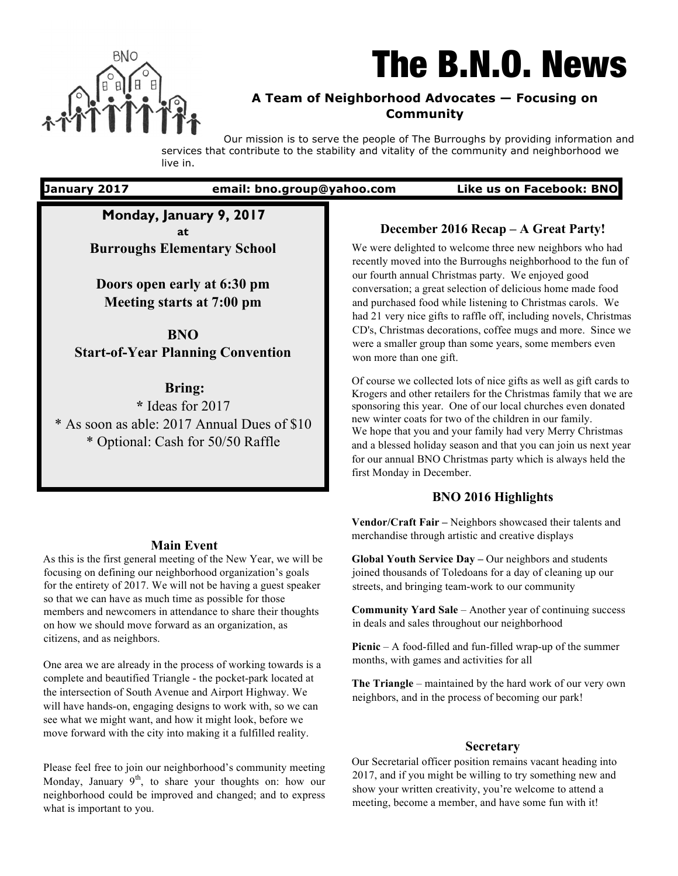

# The B.N.O. News

## **A Team of Neighborhood Advocates — Focusing on Community**

Our mission is to serve the people of The Burroughs by providing information and services that contribute to the stability and vitality of the community and neighborhood we live in.

**January 2017 email: bno.group@yahoo.com Like us on Facebook: BNO**

**Monday, January 9, 2017 at Burroughs Elementary School**

**Doors open early at 6:30 pm Meeting starts at 7:00 pm**

**BNO** 

**Start-of-Year Planning Convention**

**Bring: \*** Ideas for 2017 \* As soon as able: 2017 Annual Dues of \$10 \* Optional: Cash for 50/50 Raffle

## **Main Event**

As this is the first general meeting of the New Year, we will be focusing on defining our neighborhood organization's goals for the entirety of 2017. We will not be having a guest speaker so that we can have as much time as possible for those members and newcomers in attendance to share their thoughts on how we should move forward as an organization, as citizens, and as neighbors.

One area we are already in the process of working towards is a complete and beautified Triangle - the pocket-park located at the intersection of South Avenue and Airport Highway. We will have hands-on, engaging designs to work with, so we can see what we might want, and how it might look, before we move forward with the city into making it a fulfilled reality.

Please feel free to join our neighborhood's community meeting Monday, January  $9<sup>th</sup>$ , to share your thoughts on: how our neighborhood could be improved and changed; and to express what is important to you.

## **December 2016 Recap – A Great Party!**

We were delighted to welcome three new neighbors who had recently moved into the Burroughs neighborhood to the fun of our fourth annual Christmas party. We enjoyed good conversation; a great selection of delicious home made food and purchased food while listening to Christmas carols. We had 21 very nice gifts to raffle off, including novels, Christmas CD's, Christmas decorations, coffee mugs and more. Since we were a smaller group than some years, some members even won more than one gift.

Of course we collected lots of nice gifts as well as gift cards to Krogers and other retailers for the Christmas family that we are sponsoring this year. One of our local churches even donated new winter coats for two of the children in our family. We hope that you and your family had very Merry Christmas and a blessed holiday season and that you can join us next year for our annual BNO Christmas party which is always held the first Monday in December.

## **BNO 2016 Highlights**

**Vendor/Craft Fair –** Neighbors showcased their talents and merchandise through artistic and creative displays

**Global Youth Service Day –** Our neighbors and students joined thousands of Toledoans for a day of cleaning up our streets, and bringing team-work to our community

**Community Yard Sale** – Another year of continuing success in deals and sales throughout our neighborhood

**Picnic** – A food-filled and fun-filled wrap-up of the summer months, with games and activities for all

**The Triangle** – maintained by the hard work of our very own neighbors, and in the process of becoming our park!

## **Secretary**

Our Secretarial officer position remains vacant heading into 2017, and if you might be willing to try something new and show your written creativity, you're welcome to attend a meeting, become a member, and have some fun with it!